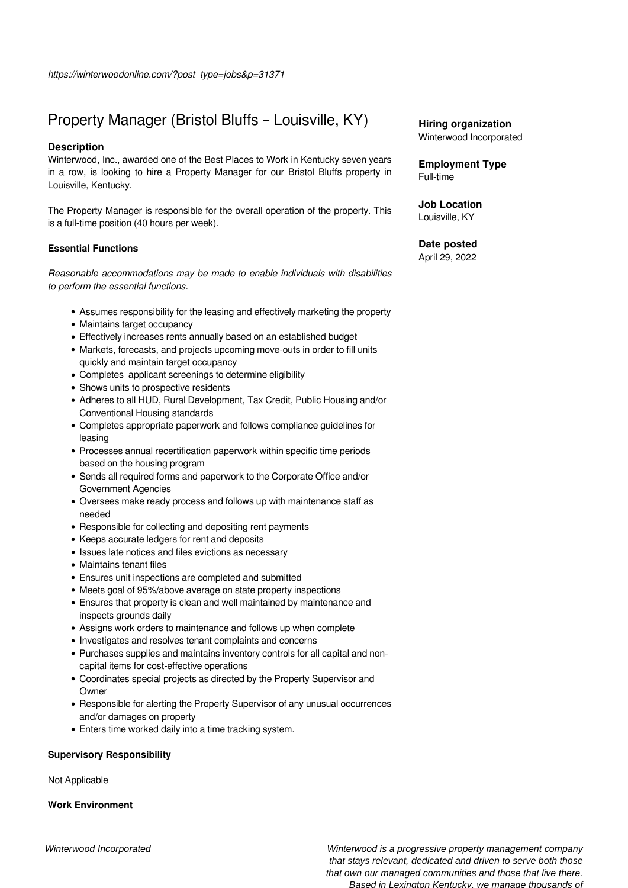# Property Manager (Bristol Bluffs – Louisville, KY)

### **Description**

Winterwood, Inc., awarded one of the Best Places to Work in Kentucky seven years in a row, is looking to hire a Property Manager for our Bristol Bluffs property in Louisville, Kentucky.

The Property Manager is responsible for the overall operation of the property. This is a full-time position (40 hours per week).

## **Essential Functions**

*Reasonable accommodations may be made to enable individuals with disabilities to perform the essential functions.*

- Assumes responsibility for the leasing and effectively marketing the property
- Maintains target occupancy
- Effectively increases rents annually based on an established budget
- Markets, forecasts, and projects upcoming move-outs in order to fill units quickly and maintain target occupancy
- Completes applicant screenings to determine eligibility
- Shows units to prospective residents
- Adheres to all HUD, Rural Development, Tax Credit, Public Housing and/or Conventional Housing standards
- Completes appropriate paperwork and follows compliance guidelines for leasing
- Processes annual recertification paperwork within specific time periods based on the housing program
- Sends all required forms and paperwork to the Corporate Office and/or Government Agencies
- Oversees make ready process and follows up with maintenance staff as needed
- Responsible for collecting and depositing rent payments
- Keeps accurate ledgers for rent and deposits
- Issues late notices and files evictions as necessary
- Maintains tenant files
- Ensures unit inspections are completed and submitted
- Meets goal of 95%/above average on state property inspections
- Ensures that property is clean and well maintained by maintenance and inspects grounds daily
- Assigns work orders to maintenance and follows up when complete
- Investigates and resolves tenant complaints and concerns
- Purchases supplies and maintains inventory controls for all capital and noncapital items for cost-effective operations
- Coordinates special projects as directed by the Property Supervisor and Owner
- Responsible for alerting the Property Supervisor of any unusual occurrences and/or damages on property
- Enters time worked daily into a time tracking system.

### **Supervisory Responsibility**

Not Applicable

### **Work Environment**

**Employment Type** Full-time

**Job Location** Louisville, KY

### **Date posted**

April 29, 2022

Winterwood Incorporated Winterwood is a progressive property management company that stays relevant, dedicated and driven to serve both those that own our managed communities and those that live there. Based in Lexington Kentucky, we manage thousands of